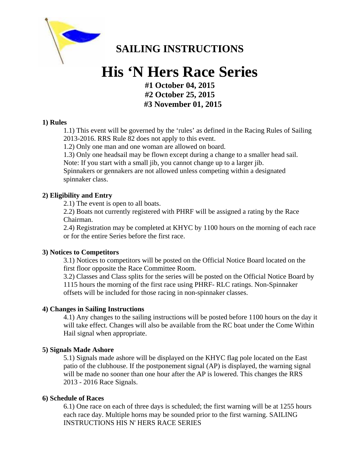

## **SAILING INSTRUCTIONS**

# **His 'N Hers Race Series**

**#1 October 04, 2015 #2 October 25, 2015 #3 November 01, 2015** 

#### **1) Rules**

1.1) This event will be governed by the 'rules' as defined in the Racing Rules of Sailing 2013-2016. RRS Rule 82 does not apply to this event.

1.2) Only one man and one woman are allowed on board.

1.3) Only one headsail may be flown except during a change to a smaller head sail. Note: If you start with a small jib, you cannot change up to a larger jib.

Spinnakers or gennakers are not allowed unless competing within a designated spinnaker class.

#### **2) Eligibility and Entry**

2.1) The event is open to all boats.

2.2) Boats not currently registered with PHRF will be assigned a rating by the Race Chairman.

2.4) Registration may be completed at KHYC by 1100 hours on the morning of each race or for the entire Series before the first race.

#### **3) Notices to Competitors**

3.1) Notices to competitors will be posted on the Official Notice Board located on the first floor opposite the Race Committee Room.

3.2) Classes and Class splits for the series will be posted on the Official Notice Board by 1115 hours the morning of the first race using PHRF- RLC ratings. Non-Spinnaker offsets will be included for those racing in non-spinnaker classes.

#### **4) Changes in Sailing Instructions**

4.1) Any changes to the sailing instructions will be posted before 1100 hours on the day it will take effect. Changes will also be available from the RC boat under the Come Within Hail signal when appropriate.

#### **5) Signals Made Ashore**

5.1) Signals made ashore will be displayed on the KHYC flag pole located on the East patio of the clubhouse. If the postponement signal (AP) is displayed, the warning signal will be made no sooner than one hour after the AP is lowered. This changes the RRS 2013 - 2016 Race Signals.

#### **6) Schedule of Races**

6.1) One race on each of three days is scheduled; the first warning will be at 1255 hours each race day. Multiple horns may be sounded prior to the first warning. SAILING INSTRUCTIONS HIS N' HERS RACE SERIES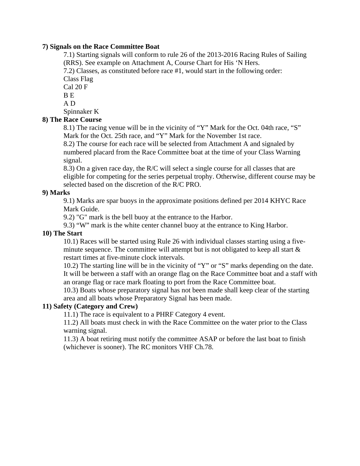#### **7) Signals on the Race Committee Boat**

7.1) Starting signals will conform to rule 26 of the 2013-2016 Racing Rules of Sailing (RRS). See example on Attachment A, Course Chart for His 'N Hers.

7.2) Classes, as constituted before race #1, would start in the following order: Class Flag

Cal 20 F B E

A D

Spinnaker K

#### **8) The Race Course**

8.1) The racing venue will be in the vicinity of "Y" Mark for the Oct. 04th race, "S" Mark for the Oct. 25th race, and "Y" Mark for the November 1st race.

8.2) The course for each race will be selected from Attachment A and signaled by numbered placard from the Race Committee boat at the time of your Class Warning signal.

8.3) On a given race day, the R/C will select a single course for all classes that are eligible for competing for the series perpetual trophy. Otherwise, different course may be selected based on the discretion of the R/C PRO.

#### **9) Marks**

9.1) Marks are spar buoys in the approximate positions defined per 2014 KHYC Race Mark Guide.

9.2) "G" mark is the bell buoy at the entrance to the Harbor.

9.3) "W" mark is the white center channel buoy at the entrance to King Harbor.

#### **10) The Start**

10.1) Races will be started using Rule 26 with individual classes starting using a fiveminute sequence. The committee will attempt but is not obligated to keep all start  $\&$ restart times at five-minute clock intervals.

10.2) The starting line will be in the vicinity of "Y" or "S" marks depending on the date. It will be between a staff with an orange flag on the Race Committee boat and a staff with an orange flag or race mark floating to port from the Race Committee boat.

10.3) Boats whose preparatory signal has not been made shall keep clear of the starting area and all boats whose Preparatory Signal has been made.

#### **11) Safety (Category and Crew)**

11.1) The race is equivalent to a PHRF Category 4 event.

11.2) All boats must check in with the Race Committee on the water prior to the Class warning signal.

11.3) A boat retiring must notify the committee ASAP or before the last boat to finish (whichever is sooner). The RC monitors VHF Ch.78.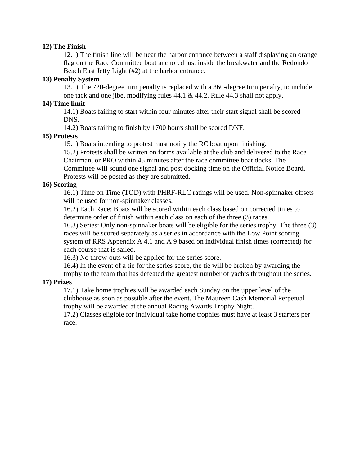#### **12) The Finish**

12.1) The finish line will be near the harbor entrance between a staff displaying an orange flag on the Race Committee boat anchored just inside the breakwater and the Redondo Beach East Jetty Light (#2) at the harbor entrance.

#### **13) Penalty System**

13.1) The 720-degree turn penalty is replaced with a 360-degree turn penalty, to include one tack and one jibe, modifying rules 44.1 & 44.2. Rule 44.3 shall not apply.

#### **14) Time limit**

14.1) Boats failing to start within four minutes after their start signal shall be scored DNS.

14.2) Boats failing to finish by 1700 hours shall be scored DNF.

#### **15) Protests**

15.1) Boats intending to protest must notify the RC boat upon finishing.

15.2) Protests shall be written on forms available at the club and delivered to the Race Chairman, or PRO within 45 minutes after the race committee boat docks. The Committee will sound one signal and post docking time on the Official Notice Board.

Protests will be posted as they are submitted.

#### **16) Scoring**

16.1) Time on Time (TOD) with PHRF-RLC ratings will be used. Non-spinnaker offsets will be used for non-spinnaker classes.

16.2) Each Race: Boats will be scored within each class based on corrected times to determine order of finish within each class on each of the three (3) races.

16.3) Series: Only non-spinnaker boats will be eligible for the series trophy. The three (3) races will be scored separately as a series in accordance with the Low Point scoring system of RRS Appendix A 4.1 and A 9 based on individual finish times (corrected) for each course that is sailed.

16.3) No throw-outs will be applied for the series score.

16.4) In the event of a tie for the series score, the tie will be broken by awarding the

trophy to the team that has defeated the greatest number of yachts throughout the series.

#### **17) Prizes**

17.1) Take home trophies will be awarded each Sunday on the upper level of the clubhouse as soon as possible after the event. The Maureen Cash Memorial Perpetual trophy will be awarded at the annual Racing Awards Trophy Night.

17.2) Classes eligible for individual take home trophies must have at least 3 starters per race.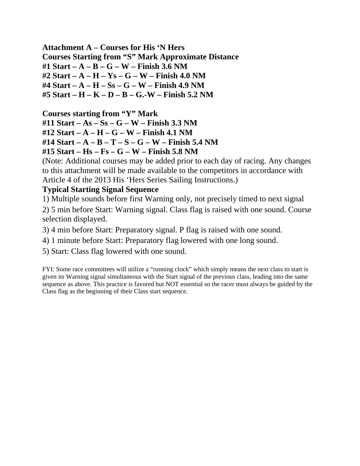**Attachment A – Courses for His 'N Hers Courses Starting from "S" Mark Approximate Distance #1 Start – A – B – G – W – Finish 3.6 NM #2 Start – A – H – Ys – G – W – Finish 4.0 NM #4 Start – A – H – Ss – G – W – Finish 4.9 NM #5 Start – H – K – D – B – G.-W – Finish 5.2 NM** 

**Courses starting from "Y" Mark** 

**#11 Start – As – Ss – G – W – Finish 3.3 NM #12 Start – A – H – G – W – Finish 4.1 NM** 

**#14 Start – A – B – T – S – G – W – Finish 5.4 NM** 

**#15 Start – Hs – Fs – G – W – Finish 5.8 NM** 

(Note: Additional courses may be added prior to each day of racing. Any changes to this attachment will be made available to the competitors in accordance with Article 4 of the 2013 His 'Hers Series Sailing Instructions.)

### **Typical Starting Signal Sequence**

1) Multiple sounds before first Warning only, not precisely timed to next signal

2) 5 min before Start: Warning signal. Class flag is raised with one sound. Course selection displayed.

3) 4 min before Start: Preparatory signal. P flag is raised with one sound.

4) 1 minute before Start: Preparatory flag lowered with one long sound.

5) Start: Class flag lowered with one sound.

FYI: Some race committees will utilize a "running clock" which simply means the next class to start is given its Warning signal simultaneous with the Start signal of the previous class, leading into the same sequence as above. This practice is favored but NOT essential so the racer must always be guided by the Class flag as the beginning of their Class start sequence.